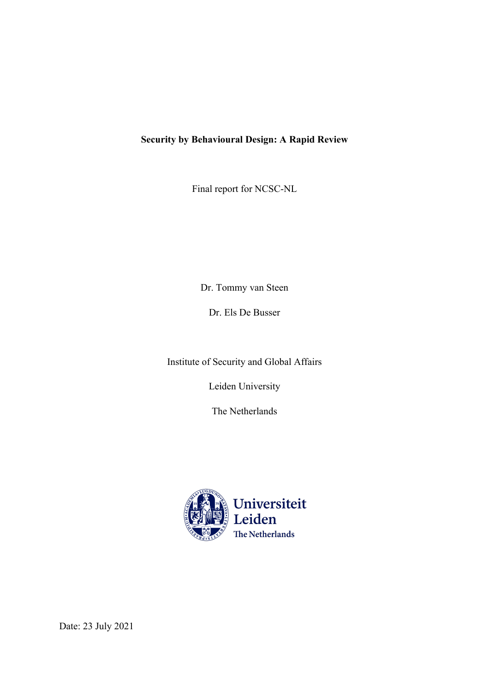# **Security by Behavioural Design: A Rapid Review**

Final report for NCSC-NL

Dr. Tommy van Steen

Dr. Els De Busser

Institute of Security and Global Affairs

Leiden University

The Netherlands



Date: 23 July 2021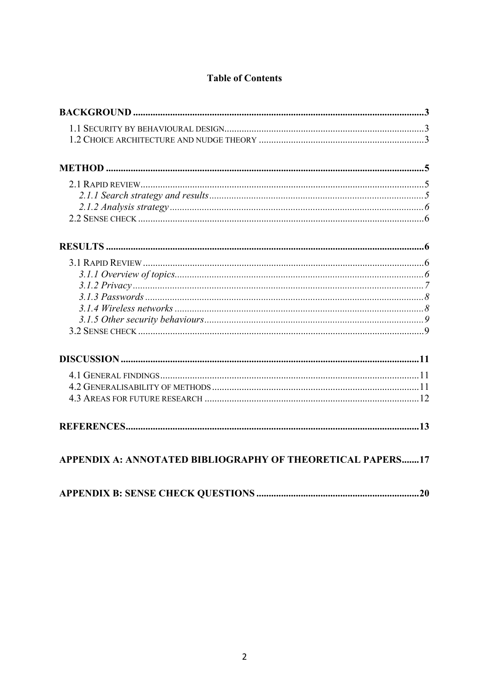# **Table of Contents**

| APPENDIX A: ANNOTATED BIBLIOGRAPHY OF THEORETICAL PAPERS17 |
|------------------------------------------------------------|
|                                                            |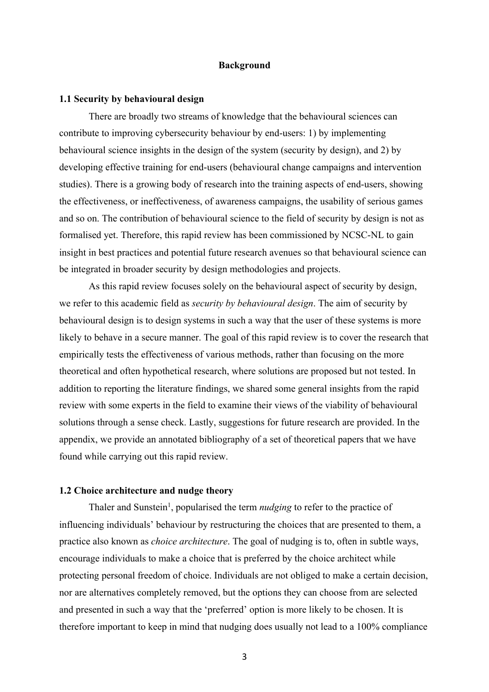#### **Background**

#### **1.1 Security by behavioural design**

There are broadly two streams of knowledge that the behavioural sciences can contribute to improving cybersecurity behaviour by end-users: 1) by implementing behavioural science insights in the design of the system (security by design), and 2) by developing effective training for end-users (behavioural change campaigns and intervention studies). There is a growing body of research into the training aspects of end-users, showing the effectiveness, or ineffectiveness, of awareness campaigns, the usability of serious games and so on. The contribution of behavioural science to the field of security by design is not as formalised yet. Therefore, this rapid review has been commissioned by NCSC-NL to gain insight in best practices and potential future research avenues so that behavioural science can be integrated in broader security by design methodologies and projects.

As this rapid review focuses solely on the behavioural aspect of security by design, we refer to this academic field as *security by behavioural design*. The aim of security by behavioural design is to design systems in such a way that the user of these systems is more likely to behave in a secure manner. The goal of this rapid review is to cover the research that empirically tests the effectiveness of various methods, rather than focusing on the more theoretical and often hypothetical research, where solutions are proposed but not tested. In addition to reporting the literature findings, we shared some general insights from the rapid review with some experts in the field to examine their views of the viability of behavioural solutions through a sense check. Lastly, suggestions for future research are provided. In the appendix, we provide an annotated bibliography of a set of theoretical papers that we have found while carrying out this rapid review.

## **1.2 Choice architecture and nudge theory**

Thaler and Sunstein<sup>1</sup>, popularised the term *nudging* to refer to the practice of influencing individuals' behaviour by restructuring the choices that are presented to them, a practice also known as *choice architecture*. The goal of nudging is to, often in subtle ways, encourage individuals to make a choice that is preferred by the choice architect while protecting personal freedom of choice. Individuals are not obliged to make a certain decision, nor are alternatives completely removed, but the options they can choose from are selected and presented in such a way that the 'preferred' option is more likely to be chosen. It is therefore important to keep in mind that nudging does usually not lead to a 100% compliance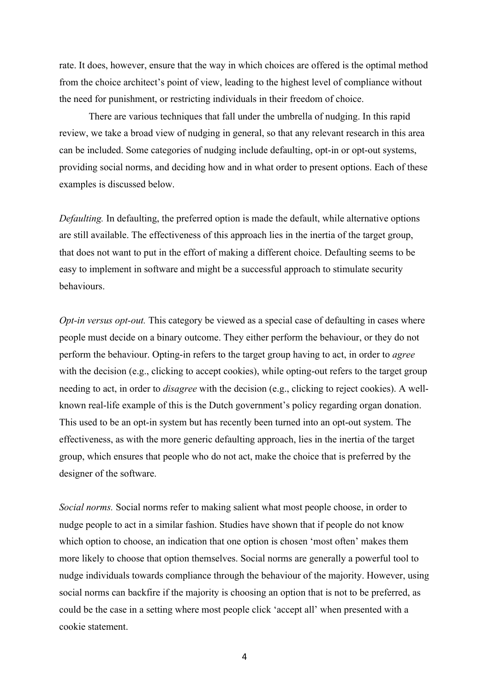rate. It does, however, ensure that the way in which choices are offered is the optimal method from the choice architect's point of view, leading to the highest level of compliance without the need for punishment, or restricting individuals in their freedom of choice.

There are various techniques that fall under the umbrella of nudging. In this rapid review, we take a broad view of nudging in general, so that any relevant research in this area can be included. Some categories of nudging include defaulting, opt-in or opt-out systems, providing social norms, and deciding how and in what order to present options. Each of these examples is discussed below.

*Defaulting.* In defaulting, the preferred option is made the default, while alternative options are still available. The effectiveness of this approach lies in the inertia of the target group, that does not want to put in the effort of making a different choice. Defaulting seems to be easy to implement in software and might be a successful approach to stimulate security behaviours.

*Opt-in versus opt-out.* This category be viewed as a special case of defaulting in cases where people must decide on a binary outcome. They either perform the behaviour, or they do not perform the behaviour. Opting-in refers to the target group having to act, in order to *agree* with the decision (e.g., clicking to accept cookies), while opting-out refers to the target group needing to act, in order to *disagree* with the decision (e.g., clicking to reject cookies). A wellknown real-life example of this is the Dutch government's policy regarding organ donation. This used to be an opt-in system but has recently been turned into an opt-out system. The effectiveness, as with the more generic defaulting approach, lies in the inertia of the target group, which ensures that people who do not act, make the choice that is preferred by the designer of the software.

*Social norms.* Social norms refer to making salient what most people choose, in order to nudge people to act in a similar fashion. Studies have shown that if people do not know which option to choose, an indication that one option is chosen 'most often' makes them more likely to choose that option themselves. Social norms are generally a powerful tool to nudge individuals towards compliance through the behaviour of the majority. However, using social norms can backfire if the majority is choosing an option that is not to be preferred, as could be the case in a setting where most people click 'accept all' when presented with a cookie statement.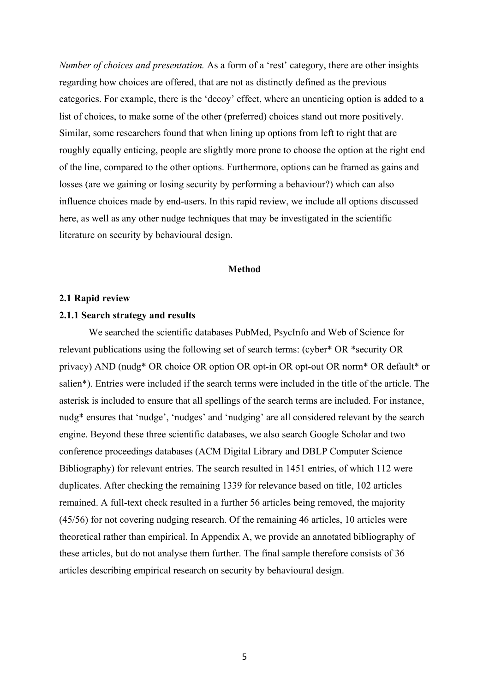*Number of choices and presentation.* As a form of a 'rest' category, there are other insights regarding how choices are offered, that are not as distinctly defined as the previous categories. For example, there is the 'decoy' effect, where an unenticing option is added to a list of choices, to make some of the other (preferred) choices stand out more positively. Similar, some researchers found that when lining up options from left to right that are roughly equally enticing, people are slightly more prone to choose the option at the right end of the line, compared to the other options. Furthermore, options can be framed as gains and losses (are we gaining or losing security by performing a behaviour?) which can also influence choices made by end-users. In this rapid review, we include all options discussed here, as well as any other nudge techniques that may be investigated in the scientific literature on security by behavioural design.

#### **Method**

#### **2.1 Rapid review**

## **2.1.1 Search strategy and results**

We searched the scientific databases PubMed, PsycInfo and Web of Science for relevant publications using the following set of search terms: (cyber\* OR \*security OR privacy) AND (nudg\* OR choice OR option OR opt-in OR opt-out OR norm\* OR default\* or salien\*). Entries were included if the search terms were included in the title of the article. The asterisk is included to ensure that all spellings of the search terms are included. For instance, nudg\* ensures that 'nudge', 'nudges' and 'nudging' are all considered relevant by the search engine. Beyond these three scientific databases, we also search Google Scholar and two conference proceedings databases (ACM Digital Library and DBLP Computer Science Bibliography) for relevant entries. The search resulted in 1451 entries, of which 112 were duplicates. After checking the remaining 1339 for relevance based on title, 102 articles remained. A full-text check resulted in a further 56 articles being removed, the majority (45/56) for not covering nudging research. Of the remaining 46 articles, 10 articles were theoretical rather than empirical. In Appendix A, we provide an annotated bibliography of these articles, but do not analyse them further. The final sample therefore consists of 36 articles describing empirical research on security by behavioural design.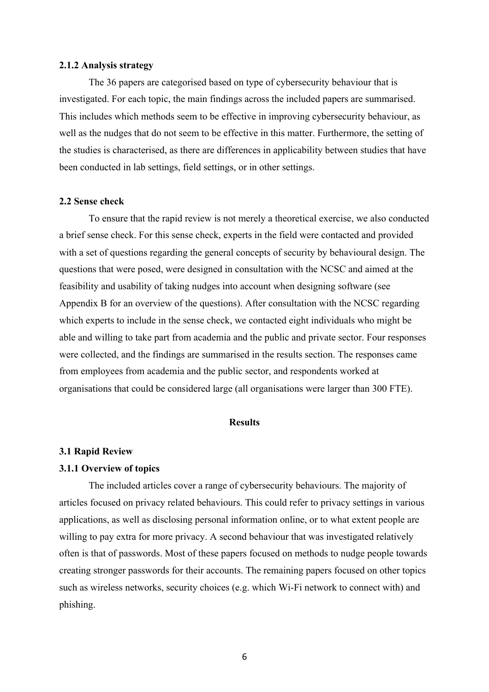#### **2.1.2 Analysis strategy**

The 36 papers are categorised based on type of cybersecurity behaviour that is investigated. For each topic, the main findings across the included papers are summarised. This includes which methods seem to be effective in improving cybersecurity behaviour, as well as the nudges that do not seem to be effective in this matter. Furthermore, the setting of the studies is characterised, as there are differences in applicability between studies that have been conducted in lab settings, field settings, or in other settings.

#### **2.2 Sense check**

To ensure that the rapid review is not merely a theoretical exercise, we also conducted a brief sense check. For this sense check, experts in the field were contacted and provided with a set of questions regarding the general concepts of security by behavioural design. The questions that were posed, were designed in consultation with the NCSC and aimed at the feasibility and usability of taking nudges into account when designing software (see Appendix B for an overview of the questions). After consultation with the NCSC regarding which experts to include in the sense check, we contacted eight individuals who might be able and willing to take part from academia and the public and private sector. Four responses were collected, and the findings are summarised in the results section. The responses came from employees from academia and the public sector, and respondents worked at organisations that could be considered large (all organisations were larger than 300 FTE).

#### **Results**

#### **3.1 Rapid Review**

#### **3.1.1 Overview of topics**

The included articles cover a range of cybersecurity behaviours. The majority of articles focused on privacy related behaviours. This could refer to privacy settings in various applications, as well as disclosing personal information online, or to what extent people are willing to pay extra for more privacy. A second behaviour that was investigated relatively often is that of passwords. Most of these papers focused on methods to nudge people towards creating stronger passwords for their accounts. The remaining papers focused on other topics such as wireless networks, security choices (e.g. which Wi-Fi network to connect with) and phishing.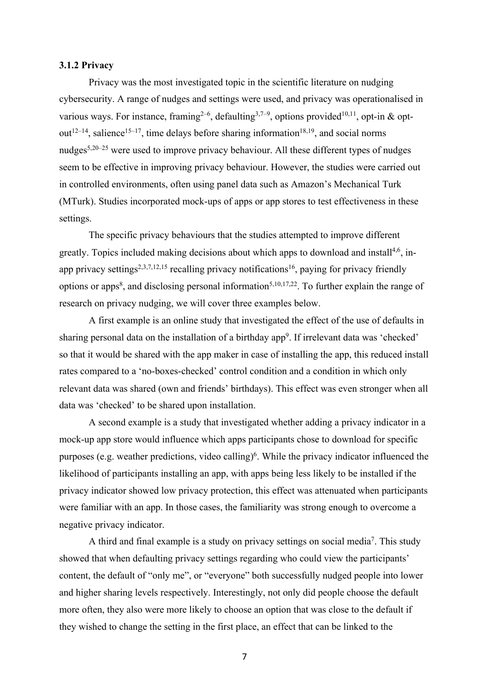#### **3.1.2 Privacy**

Privacy was the most investigated topic in the scientific literature on nudging cybersecurity. A range of nudges and settings were used, and privacy was operationalised in various ways. For instance, framing<sup>2-6</sup>, defaulting<sup>3,7-9</sup>, options provided<sup>10,11</sup>, opt-in & optout<sup>12–14</sup>, salience<sup>15–17</sup>, time delays before sharing information<sup>18,19</sup>, and social norms nudges5,20–25 were used to improve privacy behaviour. All these different types of nudges seem to be effective in improving privacy behaviour. However, the studies were carried out in controlled environments, often using panel data such as Amazon's Mechanical Turk (MTurk). Studies incorporated mock-ups of apps or app stores to test effectiveness in these settings.

The specific privacy behaviours that the studies attempted to improve different greatly. Topics included making decisions about which apps to download and install<sup>4,6</sup>, inapp privacy settings<sup>2,3,7,12,15</sup> recalling privacy notifications<sup>16</sup>, paying for privacy friendly options or apps<sup>8</sup>, and disclosing personal information<sup>5,10,17,22</sup>. To further explain the range of research on privacy nudging, we will cover three examples below.

A first example is an online study that investigated the effect of the use of defaults in sharing personal data on the installation of a birthday app<sup>9</sup>. If irrelevant data was 'checked' so that it would be shared with the app maker in case of installing the app, this reduced install rates compared to a 'no-boxes-checked' control condition and a condition in which only relevant data was shared (own and friends' birthdays). This effect was even stronger when all data was 'checked' to be shared upon installation.

A second example is a study that investigated whether adding a privacy indicator in a mock-up app store would influence which apps participants chose to download for specific purposes (e.g. weather predictions, video calling)<sup>6</sup>. While the privacy indicator influenced the likelihood of participants installing an app, with apps being less likely to be installed if the privacy indicator showed low privacy protection, this effect was attenuated when participants were familiar with an app. In those cases, the familiarity was strong enough to overcome a negative privacy indicator.

A third and final example is a study on privacy settings on social media<sup>7</sup>. This study showed that when defaulting privacy settings regarding who could view the participants' content, the default of "only me", or "everyone" both successfully nudged people into lower and higher sharing levels respectively. Interestingly, not only did people choose the default more often, they also were more likely to choose an option that was close to the default if they wished to change the setting in the first place, an effect that can be linked to the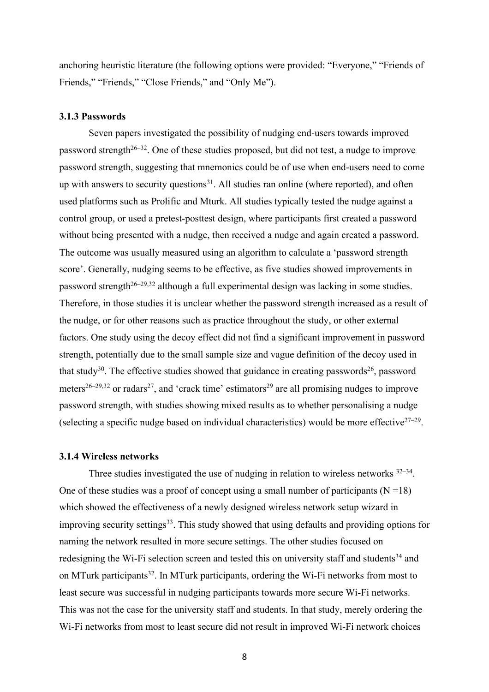anchoring heuristic literature (the following options were provided: "Everyone," "Friends of Friends," "Friends," "Close Friends," and "Only Me").

# **3.1.3 Passwords**

Seven papers investigated the possibility of nudging end-users towards improved password strength<sup>26–32</sup>. One of these studies proposed, but did not test, a nudge to improve password strength, suggesting that mnemonics could be of use when end-users need to come up with answers to security questions<sup>31</sup>. All studies ran online (where reported), and often used platforms such as Prolific and Mturk. All studies typically tested the nudge against a control group, or used a pretest-posttest design, where participants first created a password without being presented with a nudge, then received a nudge and again created a password. The outcome was usually measured using an algorithm to calculate a 'password strength score'. Generally, nudging seems to be effective, as five studies showed improvements in password strength<sup>26–29,32</sup> although a full experimental design was lacking in some studies. Therefore, in those studies it is unclear whether the password strength increased as a result of the nudge, or for other reasons such as practice throughout the study, or other external factors. One study using the decoy effect did not find a significant improvement in password strength, potentially due to the small sample size and vague definition of the decoy used in that study<sup>30</sup>. The effective studies showed that guidance in creating passwords<sup>26</sup>, password meters<sup>26–29,32</sup> or radars<sup>27</sup>, and 'crack time' estimators<sup>29</sup> are all promising nudges to improve password strength, with studies showing mixed results as to whether personalising a nudge (selecting a specific nudge based on individual characteristics) would be more effective $27-29$ .

#### **3.1.4 Wireless networks**

Three studies investigated the use of nudging in relation to wireless networks  $32-34$ . One of these studies was a proof of concept using a small number of participants  $(N=18)$ which showed the effectiveness of a newly designed wireless network setup wizard in improving security settings<sup>33</sup>. This study showed that using defaults and providing options for naming the network resulted in more secure settings. The other studies focused on redesigning the Wi-Fi selection screen and tested this on university staff and students<sup>34</sup> and on MTurk participants<sup>32</sup>. In MTurk participants, ordering the Wi-Fi networks from most to least secure was successful in nudging participants towards more secure Wi-Fi networks. This was not the case for the university staff and students. In that study, merely ordering the Wi-Fi networks from most to least secure did not result in improved Wi-Fi network choices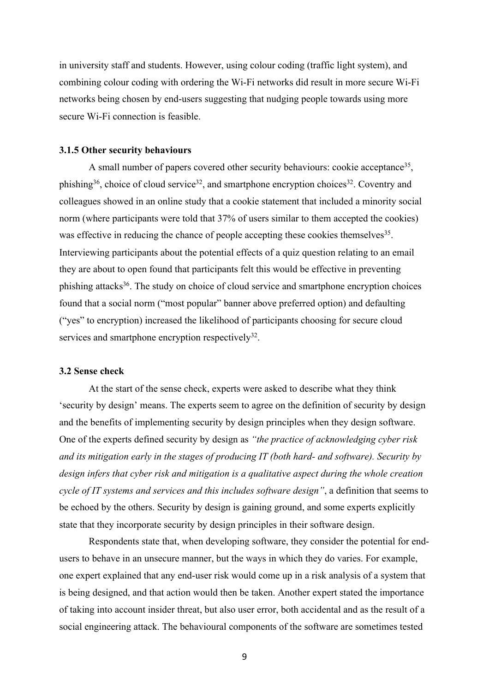in university staff and students. However, using colour coding (traffic light system), and combining colour coding with ordering the Wi-Fi networks did result in more secure Wi-Fi networks being chosen by end-users suggesting that nudging people towards using more secure Wi-Fi connection is feasible.

#### **3.1.5 Other security behaviours**

A small number of papers covered other security behaviours: cookie acceptance<sup>35</sup>, phishing<sup>36</sup>, choice of cloud service<sup>32</sup>, and smartphone encryption choices<sup>32</sup>. Coventry and colleagues showed in an online study that a cookie statement that included a minority social norm (where participants were told that 37% of users similar to them accepted the cookies) was effective in reducing the chance of people accepting these cookies themselves<sup>35</sup>. Interviewing participants about the potential effects of a quiz question relating to an email they are about to open found that participants felt this would be effective in preventing phishing attacks36. The study on choice of cloud service and smartphone encryption choices found that a social norm ("most popular" banner above preferred option) and defaulting ("yes" to encryption) increased the likelihood of participants choosing for secure cloud services and smartphone encryption respectively $32$ .

#### **3.2 Sense check**

At the start of the sense check, experts were asked to describe what they think 'security by design' means. The experts seem to agree on the definition of security by design and the benefits of implementing security by design principles when they design software. One of the experts defined security by design as *"the practice of acknowledging cyber risk and its mitigation early in the stages of producing IT (both hard- and software). Security by design infers that cyber risk and mitigation is a qualitative aspect during the whole creation cycle of IT systems and services and this includes software design"*, a definition that seems to be echoed by the others. Security by design is gaining ground, and some experts explicitly state that they incorporate security by design principles in their software design.

Respondents state that, when developing software, they consider the potential for endusers to behave in an unsecure manner, but the ways in which they do varies. For example, one expert explained that any end-user risk would come up in a risk analysis of a system that is being designed, and that action would then be taken. Another expert stated the importance of taking into account insider threat, but also user error, both accidental and as the result of a social engineering attack. The behavioural components of the software are sometimes tested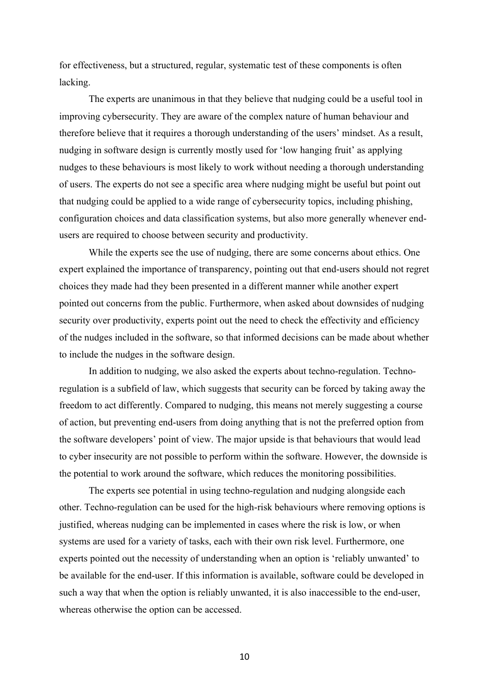for effectiveness, but a structured, regular, systematic test of these components is often lacking.

The experts are unanimous in that they believe that nudging could be a useful tool in improving cybersecurity. They are aware of the complex nature of human behaviour and therefore believe that it requires a thorough understanding of the users' mindset. As a result, nudging in software design is currently mostly used for 'low hanging fruit' as applying nudges to these behaviours is most likely to work without needing a thorough understanding of users. The experts do not see a specific area where nudging might be useful but point out that nudging could be applied to a wide range of cybersecurity topics, including phishing, configuration choices and data classification systems, but also more generally whenever endusers are required to choose between security and productivity.

While the experts see the use of nudging, there are some concerns about ethics. One expert explained the importance of transparency, pointing out that end-users should not regret choices they made had they been presented in a different manner while another expert pointed out concerns from the public. Furthermore, when asked about downsides of nudging security over productivity, experts point out the need to check the effectivity and efficiency of the nudges included in the software, so that informed decisions can be made about whether to include the nudges in the software design.

In addition to nudging, we also asked the experts about techno-regulation. Technoregulation is a subfield of law, which suggests that security can be forced by taking away the freedom to act differently. Compared to nudging, this means not merely suggesting a course of action, but preventing end-users from doing anything that is not the preferred option from the software developers' point of view. The major upside is that behaviours that would lead to cyber insecurity are not possible to perform within the software. However, the downside is the potential to work around the software, which reduces the monitoring possibilities.

The experts see potential in using techno-regulation and nudging alongside each other. Techno-regulation can be used for the high-risk behaviours where removing options is justified, whereas nudging can be implemented in cases where the risk is low, or when systems are used for a variety of tasks, each with their own risk level. Furthermore, one experts pointed out the necessity of understanding when an option is 'reliably unwanted' to be available for the end-user. If this information is available, software could be developed in such a way that when the option is reliably unwanted, it is also inaccessible to the end-user, whereas otherwise the option can be accessed.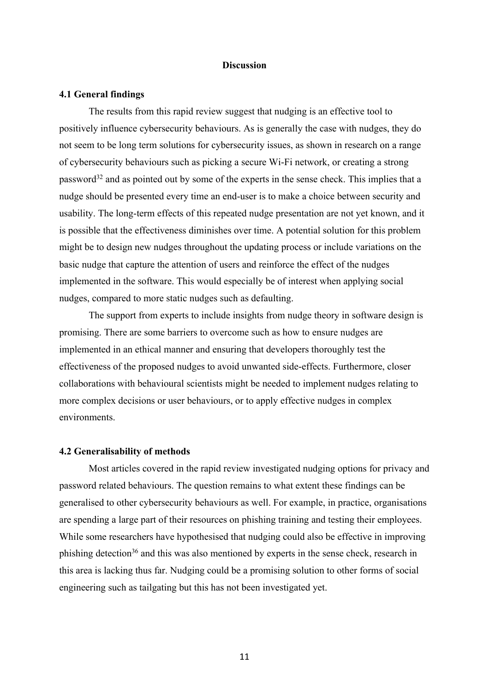#### **Discussion**

#### **4.1 General findings**

The results from this rapid review suggest that nudging is an effective tool to positively influence cybersecurity behaviours. As is generally the case with nudges, they do not seem to be long term solutions for cybersecurity issues, as shown in research on a range of cybersecurity behaviours such as picking a secure Wi-Fi network, or creating a strong password<sup>32</sup> and as pointed out by some of the experts in the sense check. This implies that a nudge should be presented every time an end-user is to make a choice between security and usability. The long-term effects of this repeated nudge presentation are not yet known, and it is possible that the effectiveness diminishes over time. A potential solution for this problem might be to design new nudges throughout the updating process or include variations on the basic nudge that capture the attention of users and reinforce the effect of the nudges implemented in the software. This would especially be of interest when applying social nudges, compared to more static nudges such as defaulting.

The support from experts to include insights from nudge theory in software design is promising. There are some barriers to overcome such as how to ensure nudges are implemented in an ethical manner and ensuring that developers thoroughly test the effectiveness of the proposed nudges to avoid unwanted side-effects. Furthermore, closer collaborations with behavioural scientists might be needed to implement nudges relating to more complex decisions or user behaviours, or to apply effective nudges in complex environments.

#### **4.2 Generalisability of methods**

Most articles covered in the rapid review investigated nudging options for privacy and password related behaviours. The question remains to what extent these findings can be generalised to other cybersecurity behaviours as well. For example, in practice, organisations are spending a large part of their resources on phishing training and testing their employees. While some researchers have hypothesised that nudging could also be effective in improving phishing detection36 and this was also mentioned by experts in the sense check, research in this area is lacking thus far. Nudging could be a promising solution to other forms of social engineering such as tailgating but this has not been investigated yet.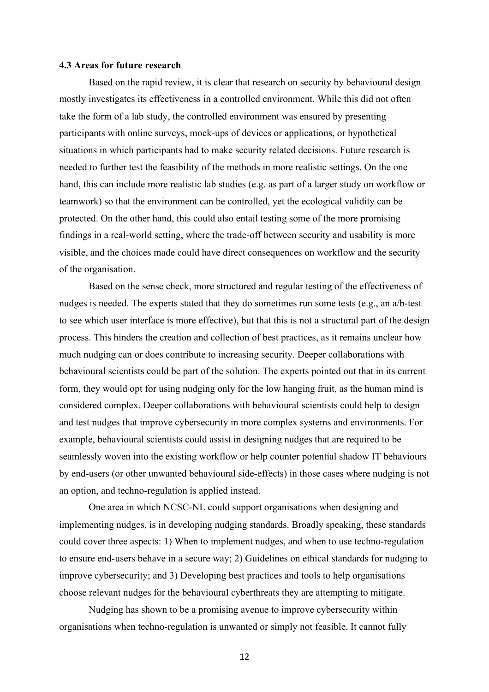#### **4.3 Areas for future research**

Based on the rapid review, it is clear that research on security by behavioural design mostly investigates its effectiveness in a controlled environment. While this did not often take the form of a lab study, the controlled environment was ensured by presenting participants with online surveys, mock-ups of devices or applications, or hypothetical situations in which participants had to make security related decisions. Future research is needed to further test the feasibility of the methods in more realistic settings. On the one hand, this can include more realistic lab studies (e.g. as part of a larger study on workflow or teamwork) so that the environment can be controlled, yet the ecological validity can be protected. On the other hand, this could also entail testing some of the more promising findings in a real-world setting, where the trade-off between security and usability is more visible, and the choices made could have direct consequences on workflow and the security of the organisation.

Based on the sense check, more structured and regular testing of the effectiveness of nudges is needed. The experts stated that they do sometimes run some tests (e.g., an a/b-test to see which user interface is more effective), but that this is not a structural part of the design process. This hinders the creation and collection of best practices, as it remains unclear how much nudging can or does contribute to increasing security. Deeper collaborations with behavioural scientists could be part of the solution. The experts pointed out that in its current form, they would opt for using nudging only for the low hanging fruit, as the human mind is considered complex. Deeper collaborations with behavioural scientists could help to design and test nudges that improve cybersecurity in more complex systems and environments. For example, behavioural scientists could assist in designing nudges that are required to be seamlessly woven into the existing workflow or help counter potential shadow IT behaviours by end-users (or other unwanted behavioural side-effects) in those cases where nudging is not an option, and techno-regulation is applied instead.

One area in which NCSC-NL could support organisations when designing and implementing nudges, is in developing nudging standards. Broadly speaking, these standards could cover three aspects: 1) When to implement nudges, and when to use techno-regulation to ensure end-users behave in a secure way; 2) Guidelines on ethical standards for nudging to improve cybersecurity; and 3) Developing best practices and tools to help organisations choose relevant nudges for the behavioural cyberthreats they are attempting to mitigate.

Nudging has shown to be a promising avenue to improve cybersecurity within organisations when techno-regulation is unwanted or simply not feasible. It cannot fully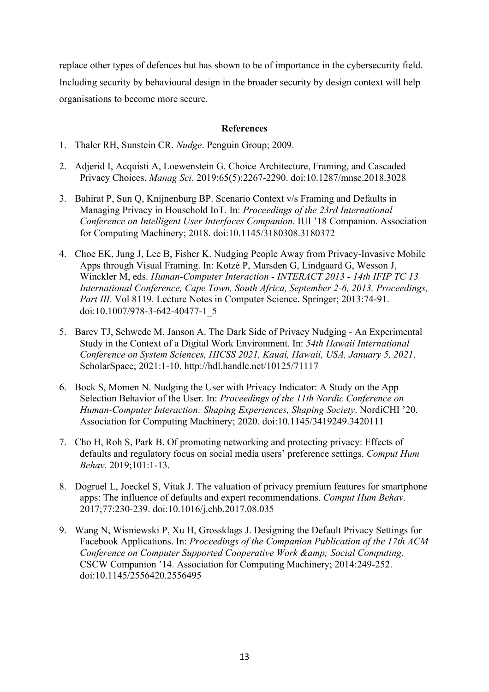replace other types of defences but has shown to be of importance in the cybersecurity field. Including security by behavioural design in the broader security by design context will help organisations to become more secure.

## **References**

- 1. Thaler RH, Sunstein CR. *Nudge*. Penguin Group; 2009.
- 2. Adjerid I, Acquisti A, Loewenstein G. Choice Architecture, Framing, and Cascaded Privacy Choices. *Manag Sci*. 2019;65(5):2267-2290. doi:10.1287/mnsc.2018.3028
- 3. Bahirat P, Sun Q, Knijnenburg BP. Scenario Context v/s Framing and Defaults in Managing Privacy in Household IoT. In: *Proceedings of the 23rd International Conference on Intelligent User Interfaces Companion*. IUI '18 Companion. Association for Computing Machinery; 2018. doi:10.1145/3180308.3180372
- 4. Choe EK, Jung J, Lee B, Fisher K. Nudging People Away from Privacy-Invasive Mobile Apps through Visual Framing. In: Kotzé P, Marsden G, Lindgaard G, Wesson J, Winckler M, eds. *Human-Computer Interaction - INTERACT 2013 - 14th IFIP TC 13 International Conference, Cape Town, South Africa, September 2-6, 2013, Proceedings, Part III*. Vol 8119. Lecture Notes in Computer Science. Springer; 2013:74-91. doi:10.1007/978-3-642-40477-1\_5
- 5. Barev TJ, Schwede M, Janson A. The Dark Side of Privacy Nudging An Experimental Study in the Context of a Digital Work Environment. In: *54th Hawaii International Conference on System Sciences, HICSS 2021, Kauai, Hawaii, USA, January 5, 2021*. ScholarSpace; 2021:1-10. http://hdl.handle.net/10125/71117
- 6. Bock S, Momen N. Nudging the User with Privacy Indicator: A Study on the App Selection Behavior of the User. In: *Proceedings of the 11th Nordic Conference on Human-Computer Interaction: Shaping Experiences, Shaping Society*. NordiCHI '20. Association for Computing Machinery; 2020. doi:10.1145/3419249.3420111
- 7. Cho H, Roh S, Park B. Of promoting networking and protecting privacy: Effects of defaults and regulatory focus on social media users' preference settings. *Comput Hum Behav*. 2019;101:1-13.
- 8. Dogruel L, Joeckel S, Vitak J. The valuation of privacy premium features for smartphone apps: The influence of defaults and expert recommendations. *Comput Hum Behav*. 2017;77:230-239. doi:10.1016/j.chb.2017.08.035
- 9. Wang N, Wisniewski P, Xu H, Grossklags J. Designing the Default Privacy Settings for Facebook Applications. In: *Proceedings of the Companion Publication of the 17th ACM Conference on Computer Supported Cooperative Work & amp; Social Computing.* CSCW Companion '14. Association for Computing Machinery; 2014:249-252. doi:10.1145/2556420.2556495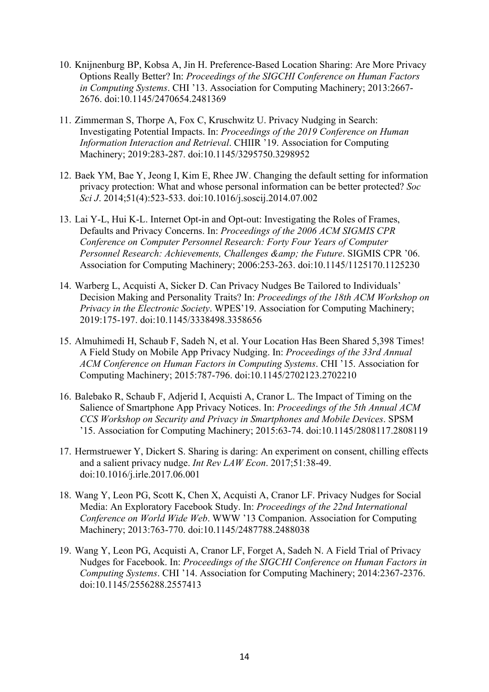- 10. Knijnenburg BP, Kobsa A, Jin H. Preference-Based Location Sharing: Are More Privacy Options Really Better? In: *Proceedings of the SIGCHI Conference on Human Factors in Computing Systems*. CHI '13. Association for Computing Machinery; 2013:2667- 2676. doi:10.1145/2470654.2481369
- 11. Zimmerman S, Thorpe A, Fox C, Kruschwitz U. Privacy Nudging in Search: Investigating Potential Impacts. In: *Proceedings of the 2019 Conference on Human Information Interaction and Retrieval*. CHIIR '19. Association for Computing Machinery; 2019:283-287. doi:10.1145/3295750.3298952
- 12. Baek YM, Bae Y, Jeong I, Kim E, Rhee JW. Changing the default setting for information privacy protection: What and whose personal information can be better protected? *Soc Sci J*. 2014;51(4):523-533. doi:10.1016/j.soscij.2014.07.002
- 13. Lai Y-L, Hui K-L. Internet Opt-in and Opt-out: Investigating the Roles of Frames, Defaults and Privacy Concerns. In: *Proceedings of the 2006 ACM SIGMIS CPR Conference on Computer Personnel Research: Forty Four Years of Computer Personnel Research: Achievements, Challenges & amp; the Future. SIGMIS CPR '06.* Association for Computing Machinery; 2006:253-263. doi:10.1145/1125170.1125230
- 14. Warberg L, Acquisti A, Sicker D. Can Privacy Nudges Be Tailored to Individuals' Decision Making and Personality Traits? In: *Proceedings of the 18th ACM Workshop on Privacy in the Electronic Society*. WPES'19. Association for Computing Machinery; 2019:175-197. doi:10.1145/3338498.3358656
- 15. Almuhimedi H, Schaub F, Sadeh N, et al. Your Location Has Been Shared 5,398 Times! A Field Study on Mobile App Privacy Nudging. In: *Proceedings of the 33rd Annual ACM Conference on Human Factors in Computing Systems*. CHI '15. Association for Computing Machinery; 2015:787-796. doi:10.1145/2702123.2702210
- 16. Balebako R, Schaub F, Adjerid I, Acquisti A, Cranor L. The Impact of Timing on the Salience of Smartphone App Privacy Notices. In: *Proceedings of the 5th Annual ACM CCS Workshop on Security and Privacy in Smartphones and Mobile Devices*. SPSM '15. Association for Computing Machinery; 2015:63-74. doi:10.1145/2808117.2808119
- 17. Hermstruewer Y, Dickert S. Sharing is daring: An experiment on consent, chilling effects and a salient privacy nudge. *Int Rev LAW Econ*. 2017;51:38-49. doi:10.1016/j.irle.2017.06.001
- 18. Wang Y, Leon PG, Scott K, Chen X, Acquisti A, Cranor LF. Privacy Nudges for Social Media: An Exploratory Facebook Study. In: *Proceedings of the 22nd International Conference on World Wide Web*. WWW '13 Companion. Association for Computing Machinery; 2013:763-770. doi:10.1145/2487788.2488038
- 19. Wang Y, Leon PG, Acquisti A, Cranor LF, Forget A, Sadeh N. A Field Trial of Privacy Nudges for Facebook. In: *Proceedings of the SIGCHI Conference on Human Factors in Computing Systems*. CHI '14. Association for Computing Machinery; 2014:2367-2376. doi:10.1145/2556288.2557413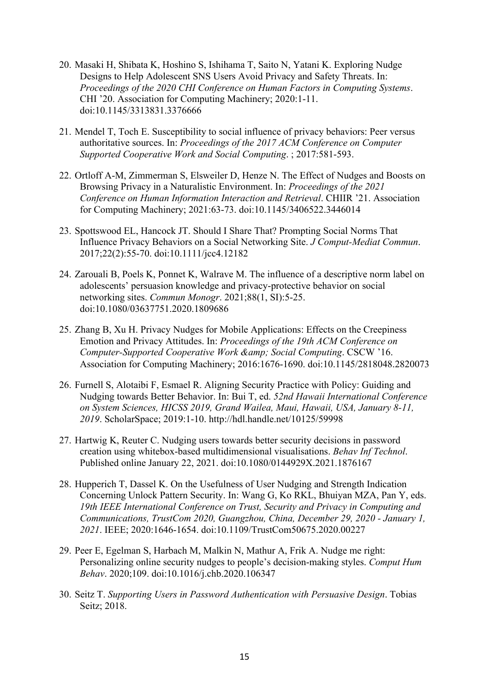- 20. Masaki H, Shibata K, Hoshino S, Ishihama T, Saito N, Yatani K. Exploring Nudge Designs to Help Adolescent SNS Users Avoid Privacy and Safety Threats. In: *Proceedings of the 2020 CHI Conference on Human Factors in Computing Systems*. CHI '20. Association for Computing Machinery; 2020:1-11. doi:10.1145/3313831.3376666
- 21. Mendel T, Toch E. Susceptibility to social influence of privacy behaviors: Peer versus authoritative sources. In: *Proceedings of the 2017 ACM Conference on Computer Supported Cooperative Work and Social Computing*. ; 2017:581-593.
- 22. Ortloff A-M, Zimmerman S, Elsweiler D, Henze N. The Effect of Nudges and Boosts on Browsing Privacy in a Naturalistic Environment. In: *Proceedings of the 2021 Conference on Human Information Interaction and Retrieval*. CHIIR '21. Association for Computing Machinery; 2021:63-73. doi:10.1145/3406522.3446014
- 23. Spottswood EL, Hancock JT. Should I Share That? Prompting Social Norms That Influence Privacy Behaviors on a Social Networking Site. *J Comput-Mediat Commun*. 2017;22(2):55-70. doi:10.1111/jcc4.12182
- 24. Zarouali B, Poels K, Ponnet K, Walrave M. The influence of a descriptive norm label on adolescents' persuasion knowledge and privacy-protective behavior on social networking sites. *Commun Monogr*. 2021;88(1, SI):5-25. doi:10.1080/03637751.2020.1809686
- 25. Zhang B, Xu H. Privacy Nudges for Mobile Applications: Effects on the Creepiness Emotion and Privacy Attitudes. In: *Proceedings of the 19th ACM Conference on Computer-Supported Cooperative Work & amp; Social Computing. CSCW '16.* Association for Computing Machinery; 2016:1676-1690. doi:10.1145/2818048.2820073
- 26. Furnell S, Alotaibi F, Esmael R. Aligning Security Practice with Policy: Guiding and Nudging towards Better Behavior. In: Bui T, ed. *52nd Hawaii International Conference on System Sciences, HICSS 2019, Grand Wailea, Maui, Hawaii, USA, January 8-11, 2019*. ScholarSpace; 2019:1-10. http://hdl.handle.net/10125/59998
- 27. Hartwig K, Reuter C. Nudging users towards better security decisions in password creation using whitebox-based multidimensional visualisations. *Behav Inf Technol*. Published online January 22, 2021. doi:10.1080/0144929X.2021.1876167
- 28. Hupperich T, Dassel K. On the Usefulness of User Nudging and Strength Indication Concerning Unlock Pattern Security. In: Wang G, Ko RKL, Bhuiyan MZA, Pan Y, eds. *19th IEEE International Conference on Trust, Security and Privacy in Computing and Communications, TrustCom 2020, Guangzhou, China, December 29, 2020 - January 1, 2021*. IEEE; 2020:1646-1654. doi:10.1109/TrustCom50675.2020.00227
- 29. Peer E, Egelman S, Harbach M, Malkin N, Mathur A, Frik A. Nudge me right: Personalizing online security nudges to people's decision-making styles. *Comput Hum Behav*. 2020;109. doi:10.1016/j.chb.2020.106347
- 30. Seitz T. *Supporting Users in Password Authentication with Persuasive Design*. Tobias Seitz; 2018.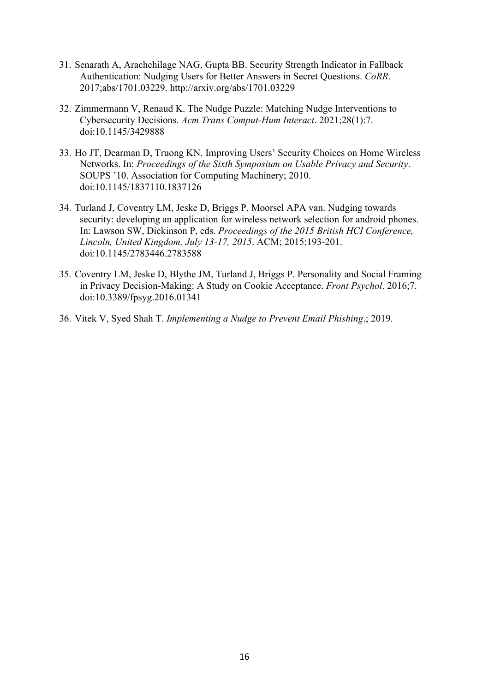- 31. Senarath A, Arachchilage NAG, Gupta BB. Security Strength Indicator in Fallback Authentication: Nudging Users for Better Answers in Secret Questions. *CoRR*. 2017;abs/1701.03229. http://arxiv.org/abs/1701.03229
- 32. Zimmermann V, Renaud K. The Nudge Puzzle: Matching Nudge Interventions to Cybersecurity Decisions. *Acm Trans Comput-Hum Interact*. 2021;28(1):7. doi:10.1145/3429888
- 33. Ho JT, Dearman D, Truong KN. Improving Users' Security Choices on Home Wireless Networks. In: *Proceedings of the Sixth Symposium on Usable Privacy and Security*. SOUPS '10. Association for Computing Machinery; 2010. doi:10.1145/1837110.1837126
- 34. Turland J, Coventry LM, Jeske D, Briggs P, Moorsel APA van. Nudging towards security: developing an application for wireless network selection for android phones. In: Lawson SW, Dickinson P, eds. *Proceedings of the 2015 British HCI Conference, Lincoln, United Kingdom, July 13-17, 2015*. ACM; 2015:193-201. doi:10.1145/2783446.2783588
- 35. Coventry LM, Jeske D, Blythe JM, Turland J, Briggs P. Personality and Social Framing in Privacy Decision-Making: A Study on Cookie Acceptance. *Front Psychol*. 2016;7. doi:10.3389/fpsyg.2016.01341
- 36. Vitek V, Syed Shah T. *Implementing a Nudge to Prevent Email Phishing*.; 2019.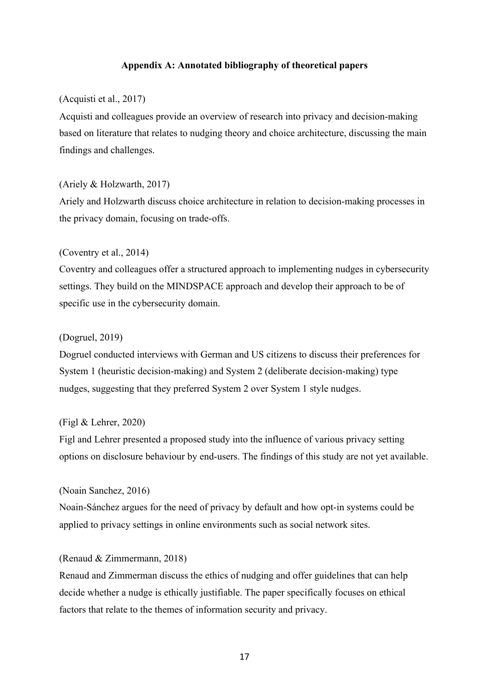## **Appendix A: Annotated bibliography of theoretical papers**

# (Acquisti et al., 2017)

Acquisti and colleagues provide an overview of research into privacy and decision-making based on literature that relates to nudging theory and choice architecture, discussing the main findings and challenges.

## (Ariely & Holzwarth, 2017)

Ariely and Holzwarth discuss choice architecture in relation to decision-making processes in the privacy domain, focusing on trade-offs.

## (Coventry et al., 2014)

Coventry and colleagues offer a structured approach to implementing nudges in cybersecurity settings. They build on the MINDSPACE approach and develop their approach to be of specific use in the cybersecurity domain.

# (Dogruel, 2019)

Dogruel conducted interviews with German and US citizens to discuss their preferences for System 1 (heuristic decision-making) and System 2 (deliberate decision-making) type nudges, suggesting that they preferred System 2 over System 1 style nudges.

## (Figl & Lehrer, 2020)

Figl and Lehrer presented a proposed study into the influence of various privacy setting options on disclosure behaviour by end-users. The findings of this study are not yet available.

#### (Noain Sanchez, 2016)

Noain-Sánchez argues for the need of privacy by default and how opt-in systems could be applied to privacy settings in online environments such as social network sites.

# (Renaud & Zimmermann, 2018)

Renaud and Zimmerman discuss the ethics of nudging and offer guidelines that can help decide whether a nudge is ethically justifiable. The paper specifically focuses on ethical factors that relate to the themes of information security and privacy.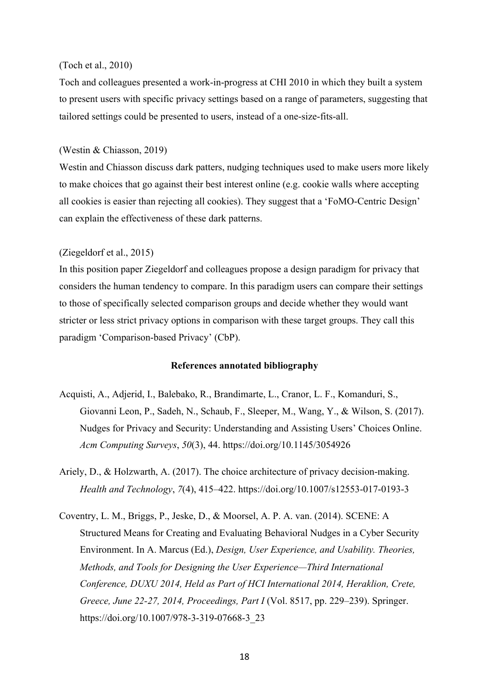#### (Toch et al., 2010)

Toch and colleagues presented a work-in-progress at CHI 2010 in which they built a system to present users with specific privacy settings based on a range of parameters, suggesting that tailored settings could be presented to users, instead of a one-size-fits-all.

## (Westin & Chiasson, 2019)

Westin and Chiasson discuss dark patters, nudging techniques used to make users more likely to make choices that go against their best interest online (e.g. cookie walls where accepting all cookies is easier than rejecting all cookies). They suggest that a 'FoMO-Centric Design' can explain the effectiveness of these dark patterns.

## (Ziegeldorf et al., 2015)

In this position paper Ziegeldorf and colleagues propose a design paradigm for privacy that considers the human tendency to compare. In this paradigm users can compare their settings to those of specifically selected comparison groups and decide whether they would want stricter or less strict privacy options in comparison with these target groups. They call this paradigm 'Comparison-based Privacy' (CbP).

## **References annotated bibliography**

- Acquisti, A., Adjerid, I., Balebako, R., Brandimarte, L., Cranor, L. F., Komanduri, S., Giovanni Leon, P., Sadeh, N., Schaub, F., Sleeper, M., Wang, Y., & Wilson, S. (2017). Nudges for Privacy and Security: Understanding and Assisting Users' Choices Online. *Acm Computing Surveys*, *50*(3), 44. https://doi.org/10.1145/3054926
- Ariely, D., & Holzwarth, A. (2017). The choice architecture of privacy decision-making. *Health and Technology*, *7*(4), 415–422. https://doi.org/10.1007/s12553-017-0193-3
- Coventry, L. M., Briggs, P., Jeske, D., & Moorsel, A. P. A. van. (2014). SCENE: A Structured Means for Creating and Evaluating Behavioral Nudges in a Cyber Security Environment. In A. Marcus (Ed.), *Design, User Experience, and Usability. Theories, Methods, and Tools for Designing the User Experience—Third International Conference, DUXU 2014, Held as Part of HCI International 2014, Heraklion, Crete, Greece, June 22-27, 2014, Proceedings, Part I* (Vol. 8517, pp. 229–239). Springer. https://doi.org/10.1007/978-3-319-07668-3\_23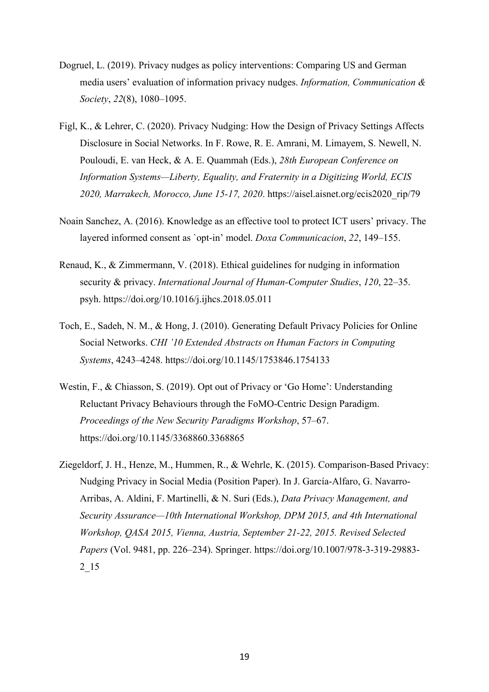- Dogruel, L. (2019). Privacy nudges as policy interventions: Comparing US and German media users' evaluation of information privacy nudges. *Information, Communication & Society*, *22*(8), 1080–1095.
- Figl, K., & Lehrer, C. (2020). Privacy Nudging: How the Design of Privacy Settings Affects Disclosure in Social Networks. In F. Rowe, R. E. Amrani, M. Limayem, S. Newell, N. Pouloudi, E. van Heck, & A. E. Quammah (Eds.), *28th European Conference on Information Systems—Liberty, Equality, and Fraternity in a Digitizing World, ECIS 2020, Marrakech, Morocco, June 15-17, 2020*. https://aisel.aisnet.org/ecis2020\_rip/79
- Noain Sanchez, A. (2016). Knowledge as an effective tool to protect ICT users' privacy. The layered informed consent as `opt-in' model. *Doxa Communicacion*, *22*, 149–155.
- Renaud, K., & Zimmermann, V. (2018). Ethical guidelines for nudging in information security & privacy. *International Journal of Human-Computer Studies*, *120*, 22–35. psyh. https://doi.org/10.1016/j.ijhcs.2018.05.011
- Toch, E., Sadeh, N. M., & Hong, J. (2010). Generating Default Privacy Policies for Online Social Networks. *CHI '10 Extended Abstracts on Human Factors in Computing Systems*, 4243–4248. https://doi.org/10.1145/1753846.1754133
- Westin, F., & Chiasson, S. (2019). Opt out of Privacy or 'Go Home': Understanding Reluctant Privacy Behaviours through the FoMO-Centric Design Paradigm. *Proceedings of the New Security Paradigms Workshop*, 57–67. https://doi.org/10.1145/3368860.3368865
- Ziegeldorf, J. H., Henze, M., Hummen, R., & Wehrle, K. (2015). Comparison-Based Privacy: Nudging Privacy in Social Media (Position Paper). In J. García-Alfaro, G. Navarro-Arribas, A. Aldini, F. Martinelli, & N. Suri (Eds.), *Data Privacy Management, and Security Assurance—10th International Workshop, DPM 2015, and 4th International Workshop, QASA 2015, Vienna, Austria, September 21-22, 2015. Revised Selected Papers* (Vol. 9481, pp. 226–234). Springer. https://doi.org/10.1007/978-3-319-29883- 2\_15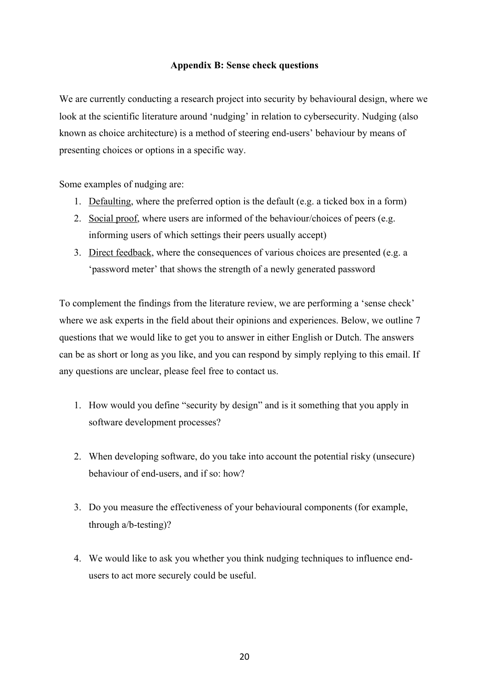# **Appendix B: Sense check questions**

We are currently conducting a research project into security by behavioural design, where we look at the scientific literature around 'nudging' in relation to cybersecurity. Nudging (also known as choice architecture) is a method of steering end-users' behaviour by means of presenting choices or options in a specific way.

Some examples of nudging are:

- 1. Defaulting, where the preferred option is the default (e.g. a ticked box in a form)
- 2. Social proof, where users are informed of the behaviour/choices of peers (e.g. informing users of which settings their peers usually accept)
- 3. Direct feedback, where the consequences of various choices are presented (e.g. a 'password meter' that shows the strength of a newly generated password

To complement the findings from the literature review, we are performing a 'sense check' where we ask experts in the field about their opinions and experiences. Below, we outline 7 questions that we would like to get you to answer in either English or Dutch. The answers can be as short or long as you like, and you can respond by simply replying to this email. If any questions are unclear, please feel free to contact us.

- 1. How would you define "security by design" and is it something that you apply in software development processes?
- 2. When developing software, do you take into account the potential risky (unsecure) behaviour of end-users, and if so: how?
- 3. Do you measure the effectiveness of your behavioural components (for example, through a/b-testing)?
- 4. We would like to ask you whether you think nudging techniques to influence endusers to act more securely could be useful.